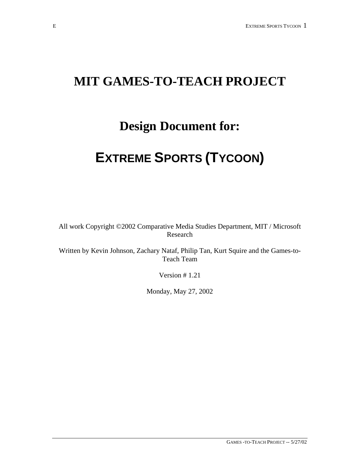## **MIT GAMES-TO-TEACH PROJECT**

## **Design Document for:**

# **EXTREME SPORTS (TYCOON)**

All work Copyright ©2002 Comparative Media Studies Department, MIT / Microsoft Research

Written by Kevin Johnson, Zachary Nataf, Philip Tan, Kurt Squire and the Games-to-Teach Team

Version # 1.21

Monday, May 27, 2002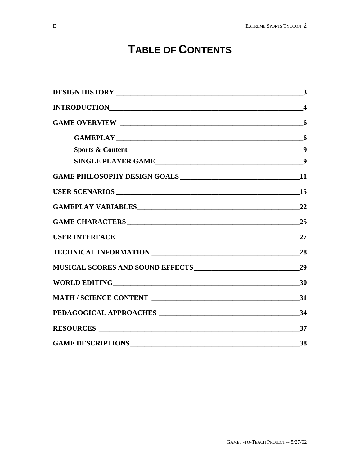## **TABLE OF CONTENTS**

|                    | $\overline{\mathbf{3}}$ |
|--------------------|-------------------------|
|                    | $\overline{\mathbf{4}}$ |
|                    | 6                       |
|                    |                         |
|                    | $\overline{9}$          |
| SINGLE PLAYER GAME |                         |
|                    |                         |
|                    |                         |
|                    |                         |
|                    | 25                      |
|                    |                         |
|                    |                         |
|                    | 29                      |
|                    |                         |
|                    |                         |
|                    |                         |
|                    |                         |
|                    | 38                      |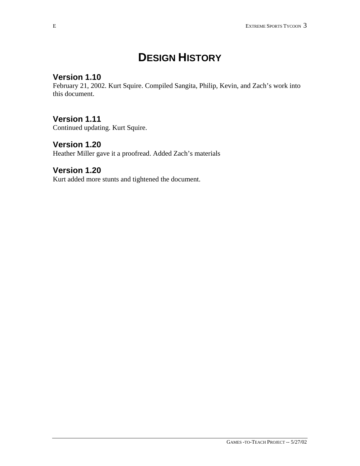## **DESIGN HISTORY**

## **Version 1.10**

February 21, 2002. Kurt Squire. Compiled Sangita, Philip, Kevin, and Zach's work into this document.

## **Version 1.11**

Continued updating. Kurt Squire.

## **Version 1.20**

Heather Miller gave it a proofread. Added Zach's materials

## **Version 1.20**

Kurt added more stunts and tightened the document.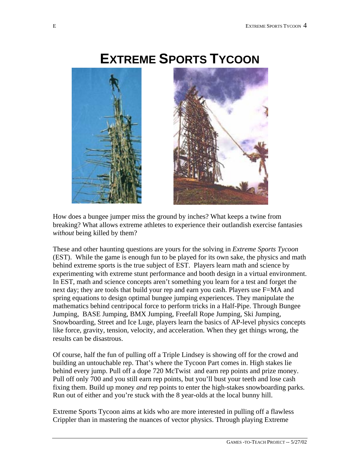# **EXTREME SPORTS TYCOON**



How does a bungee jumper miss the ground by inches? What keeps a twine from breaking? What allows extreme athletes to experience their outlandish exercise fantasies *without* being killed by them?

These and other haunting questions are yours for the solving in *Extreme Sports Tycoon* (EST). While the game is enough fun to be played for its own sake, the physics and math behind extreme sports is the true subject of EST. Players learn math and science by experimenting with extreme stunt performance and booth design in a virtual environment. In EST, math and science concepts aren't something you learn for a test and forget the next day; they are tools that build your rep and earn you cash. Players use F=MA and spring equations to design optimal bungee jumping experiences. They manipulate the mathematics behind centripocal force to perform tricks in a Half-Pipe. Through Bungee Jumping, BASE Jumping, BMX Jumping, Freefall Rope Jumping, Ski Jumping, Snowboarding, Street and Ice Luge, players learn the basics of AP-level physics concepts like force, gravity, tension, velocity, and acceleration. When they get things wrong, the results can be disastrous.

Of course, half the fun of pulling off a Triple Lindsey is showing off for the crowd and building an untouchable rep. That's where the Tycoon Part comes in. High stakes lie behind every jump. Pull off a dope 720 McTwist and earn rep points and prize money. Pull off only 700 and you still earn rep points, but you'll bust your teeth and lose cash fixing them. Build up money *and* rep points to enter the high-stakes snowboarding parks. Run out of either and you're stuck with the 8 year-olds at the local bunny hill.

Extreme Sports Tycoon aims at kids who are more interested in pulling off a flawless Crippler than in mastering the nuances of vector physics. Through playing Extreme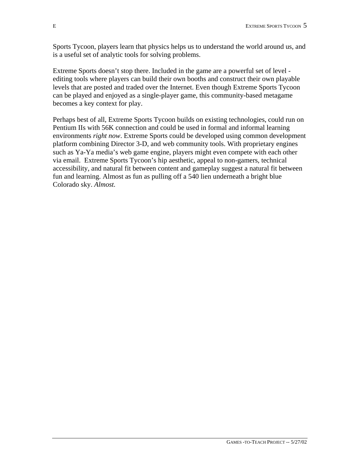Sports Tycoon, players learn that physics helps us to understand the world around us, and is a useful set of analytic tools for solving problems.

Extreme Sports doesn't stop there. Included in the game are a powerful set of level editing tools where players can build their own booths and construct their own playable levels that are posted and traded over the Internet. Even though Extreme Sports Tycoon can be played and enjoyed as a single-player game, this community-based metagame becomes a key context for play.

Perhaps best of all, Extreme Sports Tycoon builds on existing technologies, could run on Pentium IIs with 56K connection and could be used in formal and informal learning environments *right now*. Extreme Sports could be developed using common development platform combining Director 3-D, and web community tools. With proprietary engines such as Ya-Ya media's web game engine, players might even compete with each other via email. Extreme Sports Tycoon's hip aesthetic, appeal to non-gamers, technical accessibility, and natural fit between content and gameplay suggest a natural fit between fun and learning. Almost as fun as pulling off a 540 lien underneath a bright blue Colorado sky. *Almost.*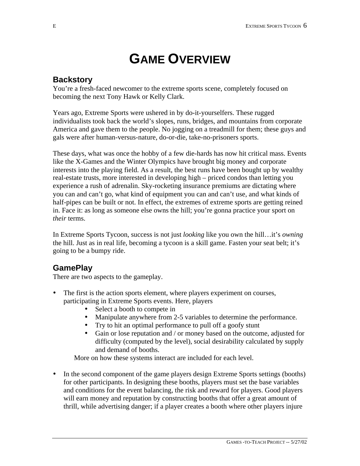# **GAME OVERVIEW**

## **Backstory**

You're a fresh-faced newcomer to the extreme sports scene, completely focused on becoming the next Tony Hawk or Kelly Clark.

Years ago, Extreme Sports were ushered in by do-it-yourselfers. These rugged individualists took back the world's slopes, runs, bridges, and mountains from corporate America and gave them to the people. No jogging on a treadmill for them; these guys and gals were after human-versus-nature, do-or-die, take-no-prisoners sports.

These days, what was once the hobby of a few die-hards has now hit critical mass. Events like the X-Games and the Winter Olympics have brought big money and corporate interests into the playing field. As a result, the best runs have been bought up by wealthy real-estate trusts, more interested in developing high – priced condos than letting you experience a rush of adrenalin. Sky-rocketing insurance premiums are dictating where you can and can't go, what kind of equipment you can and can't use, and what kinds of half-pipes can be built or not. In effect, the extremes of extreme sports are getting reined in. Face it: as long as someone else owns the hill; you're gonna practice your sport on *their* terms.

In Extreme Sports Tycoon, success is not just *looking* like you own the hill…it's *owning* the hill. Just as in real life, becoming a tycoon is a skill game. Fasten your seat belt; it's going to be a bumpy ride.

## **GamePlay**

There are two aspects to the gameplay.

- The first is the action sports element, where players experiment on courses, participating in Extreme Sports events. Here, players
	- Select a booth to compete in
	- Manipulate anywhere from 2-5 variables to determine the performance.
	- Try to hit an optimal performance to pull off a goofy stunt<br>• Gain or lose reputation and / or money based on the outcon
	- Gain or lose reputation and / or money based on the outcome, adjusted for difficulty (computed by the level), social desirability calculated by supply and demand of booths.

More on how these systems interact are included for each level.

• In the second component of the game players design Extreme Sports settings (booths) for other participants. In designing these booths, players must set the base variables and conditions for the event balancing, the risk and reward for players. Good players will earn money and reputation by constructing booths that offer a great amount of thrill, while advertising danger; if a player creates a booth where other players injure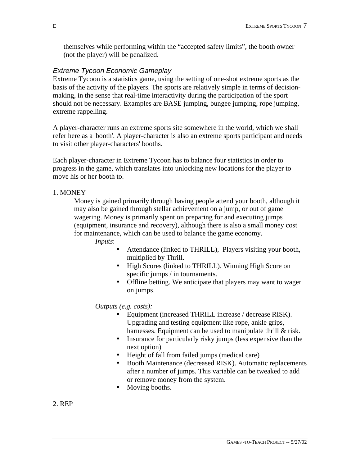themselves while performing within the "accepted safety limits", the booth owner (not the player) will be penalized.

#### *Extreme Tycoon Economic Gameplay*

Extreme Tycoon is a statistics game, using the setting of one-shot extreme sports as the basis of the activity of the players. The sports are relatively simple in terms of decisionmaking, in the sense that real-time interactivity during the participation of the sport should not be necessary. Examples are BASE jumping, bungee jumping, rope jumping, extreme rappelling.

A player-character runs an extreme sports site somewhere in the world, which we shall refer here as a 'booth'. A player-character is also an extreme sports participant and needs to visit other player-characters' booths.

Each player-character in Extreme Tycoon has to balance four statistics in order to progress in the game, which translates into unlocking new locations for the player to move his or her booth to.

#### 1. MONEY

Money is gained primarily through having people attend your booth, although it may also be gained through stellar achievement on a jump, or out of game wagering. Money is primarily spent on preparing for and executing jumps (equipment, insurance and recovery), although there is also a small money cost for maintenance, which can be used to balance the game economy.

*Inputs*:

- Attendance (linked to THRILL), Players visiting your booth, multiplied by Thrill.
- High Scores (linked to THRILL). Winning High Score on specific jumps / in tournaments.
- Offline betting. We anticipate that players may want to wager on jumps.

#### *Outputs (e.g. costs):*

- Equipment (increased THRILL increase / decrease RISK). Upgrading and testing equipment like rope, ankle grips, harnesses. Equipment can be used to manipulate thrill & risk.
- Insurance for particularly risky jumps (less expensive than the next option)
- Height of fall from failed jumps (medical care)
- Booth Maintenance (decreased RISK). Automatic replacements after a number of jumps. This variable can be tweaked to add or remove money from the system.
- Moving booths.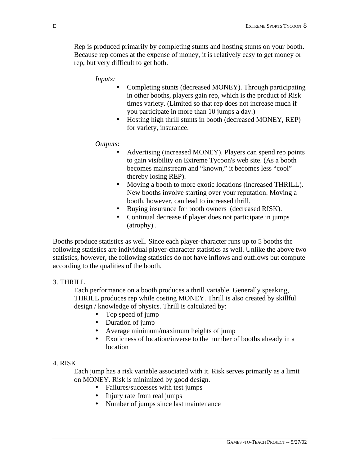Rep is produced primarily by completing stunts and hosting stunts on your booth. Because rep comes at the expense of money, it is relatively easy to get money or rep, but very difficult to get both.

#### *Inputs:*

- Completing stunts (decreased MONEY). Through participating in other booths, players gain rep, which is the product of Risk times variety. (Limited so that rep does not increase much if you participate in more than 10 jumps a day.)
- Hosting high thrill stunts in booth (decreased MONEY, REP) for variety, insurance.

#### *Outputs*:

- Advertising (increased MONEY). Players can spend rep points to gain visibility on Extreme Tycoon's web site. (As a booth becomes mainstream and "known," it becomes less "cool" thereby losing REP).
- Moving a booth to more exotic locations (increased THRILL). New booths involve starting over your reputation. Moving a booth, however, can lead to increased thrill.
- Buying insurance for booth owners (decreased RISK).
- Continual decrease if player does not participate in jumps (atrophy) .

Booths produce statistics as well. Since each player-character runs up to 5 booths the following statistics are individual player-character statistics as well. Unlike the above two statistics, however, the following statistics do not have inflows and outflows but compute according to the qualities of the booth.

#### 3. THRILL

Each performance on a booth produces a thrill variable. Generally speaking, THRILL produces rep while costing MONEY. Thrill is also created by skillful design / knowledge of physics. Thrill is calculated by:

- Top speed of jump
- Duration of jump
- Average minimum/maximum heights of jump
- Exoticness of location/inverse to the number of booths already in a location

#### 4. RISK

Each jump has a risk variable associated with it. Risk serves primarily as a limit on MONEY. Risk is minimized by good design.

- Failures/successes with test jumps
- Injury rate from real jumps
- Number of jumps since last maintenance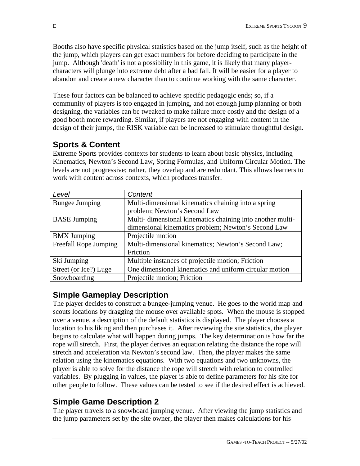Booths also have specific physical statistics based on the jump itself, such as the height of the jump, which players can get exact numbers for before deciding to participate in the jump. Although 'death' is not a possibility in this game, it is likely that many playercharacters will plunge into extreme debt after a bad fall. It will be easier for a player to abandon and create a new character than to continue working with the same character.

These four factors can be balanced to achieve specific pedagogic ends; so, if a community of players is too engaged in jumping, and not enough jump planning or both designing, the variables can be tweaked to make failure more costly and the design of a good booth more rewarding. Similar, if players are not engaging with content in the design of their jumps, the RISK variable can be increased to stimulate thoughtful design.

## **Sports & Content**

Extreme Sports provides contexts for students to learn about basic physics, including Kinematics, Newton's Second Law, Spring Formulas, and Uniform Circular Motion. The levels are not progressive; rather, they overlap and are redundant. This allows learners to work with content across contexts, which produces transfer.

| Level                 | Content                                                   |  |
|-----------------------|-----------------------------------------------------------|--|
| <b>Bungee Jumping</b> | Multi-dimensional kinematics chaining into a spring       |  |
|                       | problem; Newton's Second Law                              |  |
| <b>BASE</b> Jumping   | Multi-dimensional kinematics chaining into another multi- |  |
|                       | dimensional kinematics problem; Newton's Second Law       |  |
| <b>BMX</b> Jumping    | Projectile motion                                         |  |
| Freefall Rope Jumping | Multi-dimensional kinematics; Newton's Second Law;        |  |
|                       | Friction                                                  |  |
| Ski Jumping           | Multiple instances of projectile motion; Friction         |  |
| Street (or Ice?) Luge | One dimensional kinematics and uniform circular motion    |  |
| Snowboarding          | Projectile motion; Friction                               |  |

## **Simple Gameplay Description**

The player decides to construct a bungee-jumping venue. He goes to the world map and scouts locations by dragging the mouse over available spots. When the mouse is stopped over a venue, a description of the default statistics is displayed. The player chooses a location to his liking and then purchases it. After reviewing the site statistics, the player begins to calculate what will happen during jumps. The key determination is how far the rope will stretch. First, the player derives an equation relating the distance the rope will stretch and acceleration via Newton's second law. Then, the player makes the same relation using the kinematics equations. With two equations and two unknowns, the player is able to solve for the distance the rope will stretch with relation to controlled variables. By plugging in values, the player is able to define parameters for his site for other people to follow. These values can be tested to see if the desired effect is achieved.

## **Simple Game Description 2**

The player travels to a snowboard jumping venue. After viewing the jump statistics and the jump parameters set by the site owner, the player then makes calculations for his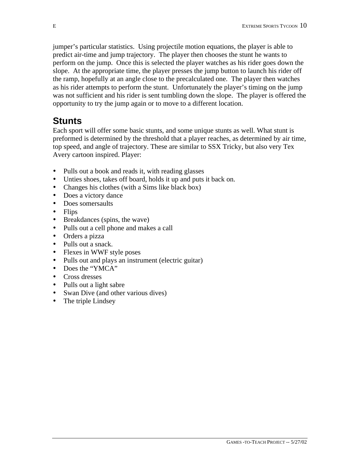jumper's particular statistics. Using projectile motion equations, the player is able to predict air-time and jump trajectory. The player then chooses the stunt he wants to perform on the jump. Once this is selected the player watches as his rider goes down the slope. At the appropriate time, the player presses the jump button to launch his rider off the ramp, hopefully at an angle close to the precalculated one. The player then watches as his rider attempts to perform the stunt. Unfortunately the player's timing on the jump was not sufficient and his rider is sent tumbling down the slope. The player is offered the opportunity to try the jump again or to move to a different location.

## **Stunts**

Each sport will offer some basic stunts, and some unique stunts as well. What stunt is preformed is determined by the threshold that a player reaches, as determined by air time, top speed, and angle of trajectory. These are similar to SSX Tricky, but also very Tex Avery cartoon inspired. Player:

- Pulls out a book and reads it, with reading glasses
- Unties shoes, takes off board, holds it up and puts it back on.
- Changes his clothes (with a Sims like black box)
- Does a victory dance
- Does somersaults
- Flips
- Breakdances (spins, the wave)
- Pulls out a cell phone and makes a call
- Orders a pizza
- Pulls out a snack.
- Flexes in WWF style poses
- Pulls out and plays an instrument (electric guitar)
- Does the "YMCA"
- Cross dresses
- Pulls out a light sabre
- Swan Dive (and other various dives)
- The triple Lindsey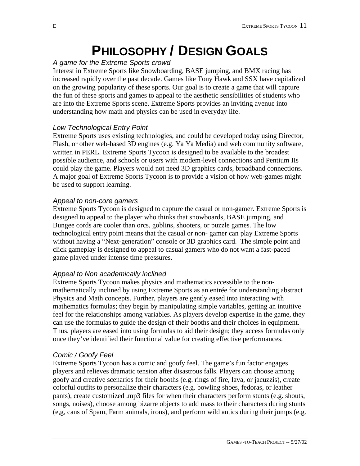# **PHILOSOPHY / DESIGN GOALS**

#### *A game for the Extreme Sports crowd*

Interest in Extreme Sports like Snowboarding, BASE jumping, and BMX racing has increased rapidly over the past decade. Games like Tony Hawk and SSX have capitalized on the growing popularity of these sports. Our goal is to create a game that will capture the fun of these sports and games to appeal to the aesthetic sensibilities of students who are into the Extreme Sports scene. Extreme Sports provides an inviting avenue into understanding how math and physics can be used in everyday life.

#### *Low Technological Entry Point*

Extreme Sports uses existing technologies, and could be developed today using Director, Flash, or other web-based 3D engines (e.g. Ya Ya Media) and web community software, written in PERL. Extreme Sports Tycoon is designed to be available to the broadest possible audience, and schools or users with modem-level connections and Pentium IIs could play the game. Players would not need 3D graphics cards, broadband connections. A major goal of Extreme Sports Tycoon is to provide a vision of how web-games might be used to support learning.

#### *Appeal to non-core gamers*

Extreme Sports Tycoon is designed to capture the casual or non-gamer. Extreme Sports is designed to appeal to the player who thinks that snowboards, BASE jumping, and Bungee cords are cooler than orcs, goblins, shooters, or puzzle games. The low technological entry point means that the casual or non- gamer can play Extreme Sports without having a "Next-generation" console or 3D graphics card. The simple point and click gameplay is designed to appeal to casual gamers who do not want a fast-paced game played under intense time pressures.

#### *Appeal to Non academically inclined*

Extreme Sports Tycoon makes physics and mathematics accessible to the nonmathematically inclined by using Extreme Sports as an entrée for understanding abstract Physics and Math concepts. Further, players are gently eased into interacting with mathematics formulas; they begin by manipulating simple variables, getting an intuitive feel for the relationships among variables. As players develop expertise in the game, they can use the formulas to guide the design of their booths and their choices in equipment. Thus, players are eased into using formulas to aid their design; they access formulas only once they've identified their functional value for creating effective performances.

#### *Comic / Goofy Feel*

Extreme Sports Tycoon has a comic and goofy feel. The game's fun factor engages players and relieves dramatic tension after disastrous falls. Players can choose among goofy and creative scenarios for their booths (e.g. rings of fire, lava, or jacuzzis), create colorful outfits to personalize their characters (e.g. bowling shoes, fedoras, or leather pants), create customized .mp3 files for when their characters perform stunts (e.g. shouts, songs, noises), choose among bizarre objects to add mass to their characters during stunts (e,g, cans of Spam, Farm animals, irons), and perform wild antics during their jumps (e.g.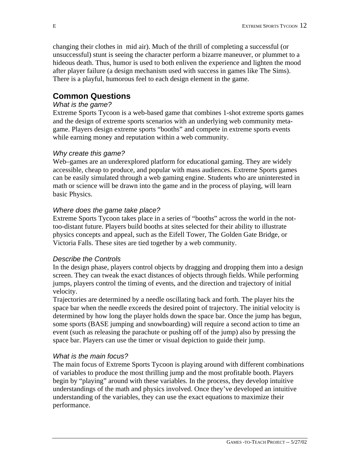changing their clothes in mid air). Much of the thrill of completing a successful (or unsuccessful) stunt is seeing the character perform a bizarre maneuver, or plummet to a hideous death. Thus, humor is used to both enliven the experience and lighten the mood after player failure (a design mechanism used with success in games like The Sims). There is a playful, humorous feel to each design element in the game.

#### **Common Questions**

#### *What is the game?*

Extreme Sports Tycoon is a web-based game that combines 1-shot extreme sports games and the design of extreme sports scenarios with an underlying web community metagame. Players design extreme sports "booths" and compete in extreme sports events while earning money and reputation within a web community.

#### *Why create this game?*

Web–games are an underexplored platform for educational gaming. They are widely accessible, cheap to produce, and popular with mass audiences. Extreme Sports games can be easily simulated through a web gaming engine. Students who are uninterested in math or science will be drawn into the game and in the process of playing, will learn basic Physics.

#### *Where does the game take place?*

Extreme Sports Tycoon takes place in a series of "booths" across the world in the nottoo-distant future. Players build booths at sites selected for their ability to illustrate physics concepts and appeal, such as the Eifell Tower, The Golden Gate Bridge, or Victoria Falls. These sites are tied together by a web community.

#### *Describe the Controls*

In the design phase, players control objects by dragging and dropping them into a design screen. They can tweak the exact distances of objects through fields. While performing jumps, players control the timing of events, and the direction and trajectory of initial velocity.

Trajectories are determined by a needle oscillating back and forth. The player hits the space bar when the needle exceeds the desired point of trajectory. The initial velocity is determined by how long the player holds down the space bar. Once the jump has begun, some sports (BASE jumping and snowboarding) will require a second action to time an event (such as releasing the parachute or pushing off of the jump) also by pressing the space bar. Players can use the timer or visual depiction to guide their jump.

#### *What is the main focus?*

The main focus of Extreme Sports Tycoon is playing around with different combinations of variables to produce the most thrilling jump and the most profitable booth. Players begin by "playing" around with these variables. In the process, they develop intuitive understandings of the math and physics involved. Once they've developed an intuitive understanding of the variables, they can use the exact equations to maximize their performance.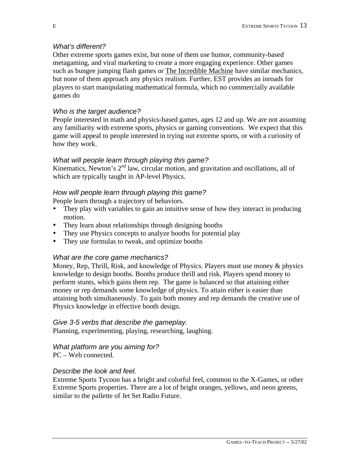#### *What's different?*

Other extreme sports games exist, but none of them use humor, community-based metagaming, and viral marketing to create a more engaging experience. Other games such as bungee jumping flash games or The Incredible Machine have similar mechanics, but none of them approach any physics realism. Further, EST provides an inroads for players to start manipulating mathematical formula, which no commercially available games do

### *Who is the target audience?*

People interested in math and physics-based games, ages 12 and up. We are not assuming any familiarity with extreme sports, physics or gaming conventions. We expect that this game will appeal to people interested in trying out extreme sports, or with a curiosity of how they work.

### *What will people learn through playing this game?*

Kinematics, Newton's  $2<sup>nd</sup>$  law, circular motion, and gravitation and oscillations, all of which are typically taught in AP-level Physics.

### *How will people learn through playing this game?*

People learn through a trajectory of behaviors.

- They play with variables to gain an intuitive sense of how they interact in producing motion.
- They learn about relationships through designing booths
- They use Physics concepts to analyze booths for potential play
- They use formulas to tweak, and optimize booths

## *What are the core game mechanics?*

Money, Rep, Thrill, Risk, and knowledge of Physics. Players must use money & physics knowledge to design booths. Booths produce thrill and risk. Players spend money to perform stunts, which gains them rep. The game is balanced so that attaining either money or rep demands some knowledge of physics. To attain either is easier than attaining both simultaneously. To gain both money and rep demands the creative use of Physics knowledge in effective booth design.

## *Give 3-5 verbs that describe the gameplay.*

Planning, experimenting, playing, researching, laughing.

#### *What platform are you aiming for?* PC – Web connected.

#### *Describe the look and feel.*

Extreme Sports Tycoon has a bright and colorful feel, common to the X-Games, or other Extreme Sports properties. There are a lot of bright oranges, yellows, and neon greens, similar to the pallette of Jet Set Radio Future.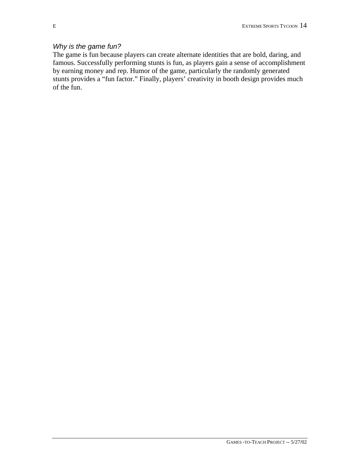### *Why is the game fun?*

The game is fun because players can create alternate identities that are bold, daring, and famous. Successfully performing stunts is fun, as players gain a sense of accomplishment by earning money and rep. Humor of the game, particularly the randomly generated stunts provides a "fun factor." Finally, players' creativity in booth design provides much of the fun.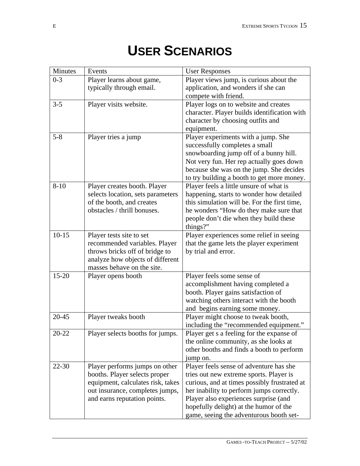| Minutes   | Events                                                             | <b>User Responses</b>                                           |
|-----------|--------------------------------------------------------------------|-----------------------------------------------------------------|
| $0 - 3$   | Player learns about game,                                          | Player views jump, is curious about the                         |
|           | typically through email.                                           | application, and wonders if she can                             |
|           |                                                                    | compete with friend.                                            |
| $3 - 5$   | Player visits website.                                             | Player logs on to website and creates                           |
|           |                                                                    | character. Player builds identification with                    |
|           |                                                                    | character by choosing outfits and                               |
|           |                                                                    | equipment.                                                      |
| $5 - 8$   | Player tries a jump                                                | Player experiments with a jump. She                             |
|           |                                                                    | successfully completes a small                                  |
|           |                                                                    | snowboarding jump off of a bunny hill.                          |
|           |                                                                    | Not very fun. Her rep actually goes down                        |
|           |                                                                    | because she was on the jump. She decides                        |
|           |                                                                    | to try building a booth to get more money.                      |
| $8 - 10$  | Player creates booth. Player                                       | Player feels a little unsure of what is                         |
|           | selects location, sets parameters                                  | happening, starts to wonder how detailed                        |
|           | of the booth, and creates                                          | this simulation will be. For the first time,                    |
|           | obstacles / thrill bonuses.                                        | he wonders "How do they make sure that                          |
|           |                                                                    | people don't die when they build these                          |
|           |                                                                    | things?"                                                        |
| $10-15$   | Player tests site to set                                           | Player experiences some relief in seeing                        |
|           | recommended variables. Player                                      | that the game lets the player experiment<br>by trial and error. |
|           | throws bricks off of bridge to<br>analyze how objects of different |                                                                 |
|           | masses behave on the site.                                         |                                                                 |
| $15 - 20$ | Player opens booth                                                 | Player feels some sense of                                      |
|           |                                                                    | accomplishment having completed a                               |
|           |                                                                    | booth. Player gains satisfaction of                             |
|           |                                                                    | watching others interact with the booth                         |
|           |                                                                    | and begins earning some money.                                  |
| $20 - 45$ | Player tweaks booth                                                | Player might choose to tweak booth,                             |
|           |                                                                    | including the "recommended equipment."                          |
| 20-22     | Player selects booths for jumps.                                   | Player get s a feeling for the expanse of                       |
|           |                                                                    | the online community, as she looks at                           |
|           |                                                                    | other booths and finds a booth to perform                       |
|           |                                                                    | jump on.                                                        |
| $22 - 30$ | Player performs jumps on other                                     | Player feels sense of adventure has she                         |
|           | booths. Player selects proper                                      | tries out new extreme sports. Player is                         |
|           | equipment, calculates risk, takes                                  | curious, and at times possibly frustrated at                    |
|           | out insurance, completes jumps,                                    | her inability to perform jumps correctly.                       |
|           | and earns reputation points.                                       | Player also experiences surprise (and                           |
|           |                                                                    | hopefully delight) at the humor of the                          |
|           |                                                                    | game, seeing the adventurous booth set-                         |

# **USER SCENARIOS**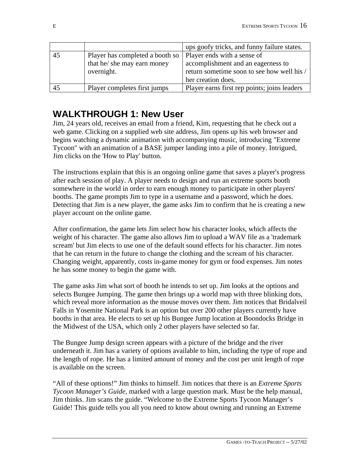|    |                                                               | ups goofy tricks, and funny failure states.  |
|----|---------------------------------------------------------------|----------------------------------------------|
| 45 | Player has completed a booth so   Player ends with a sense of |                                              |
|    | that he/ she may earn money                                   | accomplishment and an eagerness to           |
|    | overnight.                                                    | return sometime soon to see how well his /   |
|    |                                                               | her creation does.                           |
| 45 | Player completes first jumps                                  | Player earns first rep points; joins leaders |

## **WALKTHROUGH 1: New User**

Jim, 24 years old, receives an email from a friend, Kim, requesting that he check out a web game. Clicking on a supplied web site address, Jim opens up his web browser and begins watching a dynamic animation with accompanying music, introducing "Extreme Tycoon" with an animation of a BASE jumper landing into a pile of money. Intrigued, Jim clicks on the 'How to Play' button.

The instructions explain that this is an ongoing online game that saves a player's progress after each session of play. A player needs to design and run an extreme sports booth somewhere in the world in order to earn enough money to participate in other players' booths. The game prompts Jim to type in a username and a password, which he does. Detecting that Jim is a new player, the game asks Jim to confirm that he is creating a new player account on the online game.

After confirmation, the game lets Jim select how his character looks, which affects the weight of his character. The game also allows Jim to upload a WAV file as a 'trademark scream' but Jim elects to use one of the default sound effects for his character. Jim notes that he can return in the future to change the clothing and the scream of his character. Changing weight, apparently, costs in-game money for gym or food expenses. Jim notes he has some money to begin the game with.

The game asks Jim what sort of booth he intends to set up. Jim looks at the options and selects Bungee Jumping. The game then brings up a world map with three blinking dots, which reveal more information as the mouse moves over them. Jim notices that Bridalveil Falls in Yosemite National Park is an option but over 200 other players currently have booths in that area. He elects to set up his Bungee Jump location at Boondocks Bridge in the Midwest of the USA, which only 2 other players have selected so far.

The Bungee Jump design screen appears with a picture of the bridge and the river underneath it. Jim has a variety of options available to him, including the type of rope and the length of rope. He has a limited amount of money and the cost per unit length of rope is available on the screen.

"All of these options!" Jim thinks to himself. Jim notices that there is an *Extreme Sports Tycoon Manager's Guide,* marked with a large question mark. Must be the help manual, Jim thinks. Jim scans the guide. "Welcome to the Extreme Sports Tycoon Manager's Guide! This guide tells you all you need to know about owning and running an Extreme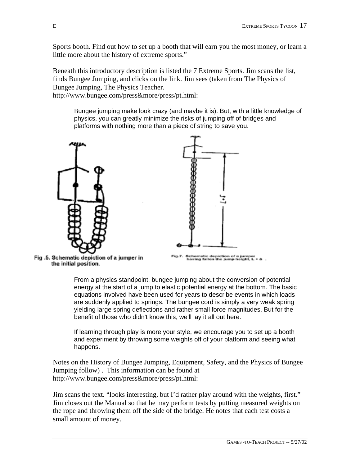Sports booth. Find out how to set up a booth that will earn you the most money, or learn a little more about the history of extreme sports."

Beneath this introductory description is listed the 7 Extreme Sports. Jim scans the list, finds Bungee Jumping, and clicks on the link. Jim sees (taken from The Physics of Bungee Jumping, The Physics Teacher.

http://www.bungee.com/press&more/press/pt.html:

Bungee jumping make look crazy (and maybe it is). But, with a little knowledge of physics, you can greatly minimize the risks of jumping off of bridges and platforms with nothing more than a piece of string to save you.



Fig.5. Schematic depiction of a jumper in the initial position.

Schematic depiction of a jumper<br>having fallen the jump height, L + &

From a physics standpoint, bungee jumping about the conversion of potential energy at the start of a jump to elastic potential energy at the bottom. The basic equations involved have been used for years to describe events in which loads are suddenly applied to springs. The bungee cord is simply a very weak spring yielding large spring deflections and rather small force magnitudes. But for the benefit of those who didn't know this, we'll lay it all out here.

If learning through play is more your style, we encourage you to set up a booth and experiment by throwing some weights off of your platform and seeing what happens.

Notes on the History of Bungee Jumping, Equipment, Safety, and the Physics of Bungee Jumping follow) . This information can be found at http://www.bungee.com/press&more/press/pt.html:

Jim scans the text. "looks interesting, but I'd rather play around with the weights, first." Jim closes out the Manual so that he may perform tests by putting measured weights on the rope and throwing them off the side of the bridge. He notes that each test costs a small amount of money.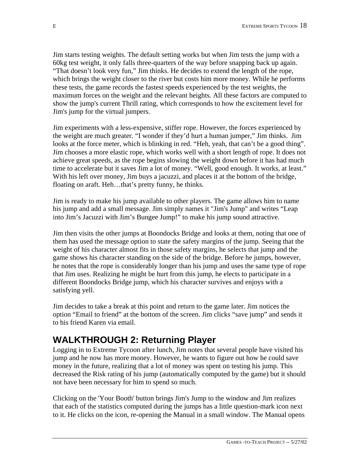Jim starts testing weights. The default setting works but when Jim tests the jump with a 60kg test weight, it only falls three-quarters of the way before snapping back up again. "That doesn't look very fun," Jim thinks. He decides to extend the length of the rope, which brings the weight closer to the river but costs him more money. While he performs these tests, the game records the fastest speeds experienced by the test weights, the maximum forces on the weight and the relevant heights. All these factors are computed to show the jump's current Thrill rating, which corresponds to how the excitement level for Jim's jump for the virtual jumpers.

Jim experiments with a less-expensive, stiffer rope. However, the forces experienced by the weight are much greater. "I wonder if they'd hurt a human jumper," Jim thinks. Jim looks at the force meter, which is blinking in red. "Heh, yeah, that can't be a good thing". Jim chooses a more elastic rope, which works well with a short length of rope. It does not achieve great speeds, as the rope begins slowing the weight down before it has had much time to accelerate but it saves Jim a lot of money. "Well, good enough. It works, at least." With his left over money, Jim buys a jacuzzi, and places it at the bottom of the bridge, floating on araft. Heh...that's pretty funny, he thinks.

Jim is ready to make his jump available to other players. The game allows him to name his jump and add a small message. Jim simply names it "Jim's Jump" and writes "Leap into Jim's Jacuzzi with Jim's Bungee Jump!" to make his jump sound attractive.

Jim then visits the other jumps at Boondocks Bridge and looks at them, noting that one of them has used the message option to state the safety margins of the jump. Seeing that the weight of his character almost fits in those safety margins, he selects that jump and the game shows his character standing on the side of the bridge. Before he jumps, however, he notes that the rope is considerably longer than his jump and uses the same type of rope that Jim uses. Realizing he might be hurt from this jump, he elects to participate in a different Boondocks Bridge jump, which his character survives and enjoys with a satisfying yell.

Jim decides to take a break at this point and return to the game later. Jim notices the option "Email to friend" at the bottom of the screen. Jim clicks "save jump" and sends it to his friend Karen via email.

## **WALKTHROUGH 2: Returning Player**

Logging in to Extreme Tycoon after lunch, Jim notes that several people have visited his jump and he now has more money. However, he wants to figure out how he could save money in the future, realizing that a lot of money was spent on testing his jump. This decreased the Risk rating of his jump (automatically computed by the game) but it should not have been necessary for him to spend so much.

Clicking on the 'Your Booth' button brings Jim's Jump to the window and Jim realizes that each of the statistics computed during the jumps has a little question-mark icon next to it. He clicks on the icon, re-opening the Manual in a small window. The Manual opens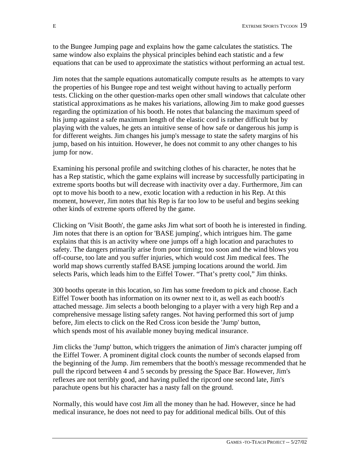to the Bungee Jumping page and explains how the game calculates the statistics. The same window also explains the physical principles behind each statistic and a few equations that can be used to approximate the statistics without performing an actual test.

Jim notes that the sample equations automatically compute results as he attempts to vary the properties of his Bungee rope and test weight without having to actually perform tests. Clicking on the other question-marks open other small windows that calculate other statistical approximations as he makes his variations, allowing Jim to make good guesses regarding the optimization of his booth. He notes that balancing the maximum speed of his jump against a safe maximum length of the elastic cord is rather difficult but by playing with the values, he gets an intuitive sense of how safe or dangerous his jump is for different weights. Jim changes his jump's message to state the safety margins of his jump, based on his intuition. However, he does not commit to any other changes to his jump for now.

Examining his personal profile and switching clothes of his character, he notes that he has a Rep statistic, which the game explains will increase by successfully participating in extreme sports booths but will decrease with inactivity over a day. Furthermore, Jim can opt to move his booth to a new, exotic location with a reduction in his Rep. At this moment, however, Jim notes that his Rep is far too low to be useful and begins seeking other kinds of extreme sports offered by the game.

Clicking on 'Visit Booth', the game asks Jim what sort of booth he is interested in finding. Jim notes that there is an option for 'BASE jumping', which intrigues him. The game explains that this is an activity where one jumps off a high location and parachutes to safety. The dangers primarily arise from poor timing; too soon and the wind blows you off-course, too late and you suffer injuries, which would cost Jim medical fees. The world map shows currently staffed BASE jumping locations around the world. Jim selects Paris, which leads him to the Eiffel Tower. "That's pretty cool," Jim thinks.

300 booths operate in this location, so Jim has some freedom to pick and choose. Each Eiffel Tower booth has information on its owner next to it, as well as each booth's attached message. Jim selects a booth belonging to a player with a very high Rep and a comprehensive message listing safety ranges. Not having performed this sort of jump before, Jim elects to click on the Red Cross icon beside the 'Jump' button, which spends most of his available money buying medical insurance.

Jim clicks the 'Jump' button, which triggers the animation of Jim's character jumping off the Eiffel Tower. A prominent digital clock counts the number of seconds elapsed from the beginning of the Jump. Jim remembers that the booth's message recommended that he pull the ripcord between 4 and 5 seconds by pressing the Space Bar. However, Jim's reflexes are not terribly good, and having pulled the ripcord one second late, Jim's parachute opens but his character has a nasty fall on the ground.

Normally, this would have cost Jim all the money than he had. However, since he had medical insurance, he does not need to pay for additional medical bills. Out of this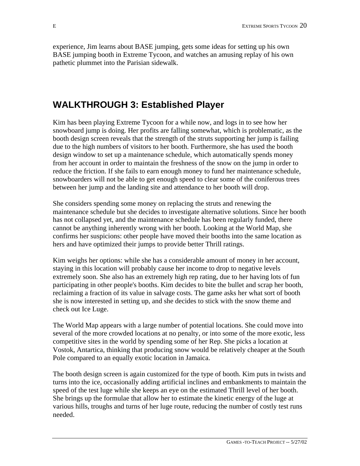experience, Jim learns about BASE jumping, gets some ideas for setting up his own BASE jumping booth in Extreme Tycoon, and watches an amusing replay of his own pathetic plummet into the Parisian sidewalk.

## **WALKTHROUGH 3: Established Player**

Kim has been playing Extreme Tycoon for a while now, and logs in to see how her snowboard jump is doing. Her profits are falling somewhat, which is problematic, as the booth design screen reveals that the strength of the struts supporting her jump is failing due to the high numbers of visitors to her booth. Furthermore, she has used the booth design window to set up a maintenance schedule, which automatically spends money from her account in order to maintain the freshness of the snow on the jump in order to reduce the friction. If she fails to earn enough money to fund her maintenance schedule, snowboarders will not be able to get enough speed to clear some of the coniferous trees between her jump and the landing site and attendance to her booth will drop.

She considers spending some money on replacing the struts and renewing the maintenance schedule but she decides to investigate alternative solutions. Since her booth has not collapsed yet, and the maintenance schedule has been regularly funded, there cannot be anything inherently wrong with her booth. Looking at the World Map, she confirms her suspicions: other people have moved their booths into the same location as hers and have optimized their jumps to provide better Thrill ratings.

Kim weighs her options: while she has a considerable amount of money in her account, staying in this location will probably cause her income to drop to negative levels extremely soon. She also has an extremely high rep rating, due to her having lots of fun participating in other people's booths. Kim decides to bite the bullet and scrap her booth, reclaiming a fraction of its value in salvage costs. The game asks her what sort of booth she is now interested in setting up, and she decides to stick with the snow theme and check out Ice Luge.

The World Map appears with a large number of potential locations. She could move into several of the more crowded locations at no penalty, or into some of the more exotic, less competitive sites in the world by spending some of her Rep. She picks a location at Vostok, Antartica, thinking that producing snow would be relatively cheaper at the South Pole compared to an equally exotic location in Jamaica.

The booth design screen is again customized for the type of booth. Kim puts in twists and turns into the ice, occasionally adding artificial inclines and embankments to maintain the speed of the test luge while she keeps an eye on the estimated Thrill level of her booth. She brings up the formulae that allow her to estimate the kinetic energy of the luge at various hills, troughs and turns of her luge route, reducing the number of costly test runs needed.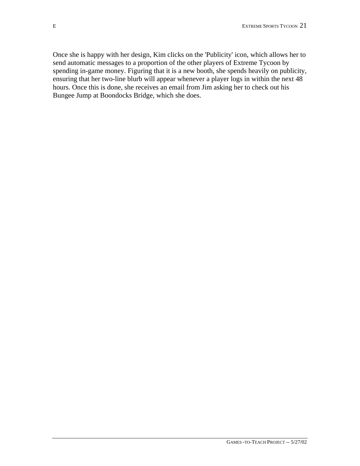Once she is happy with her design, Kim clicks on the 'Publicity' icon, which allows her to send automatic messages to a proportion of the other players of Extreme Tycoon by spending in-game money. Figuring that it is a new booth, she spends heavily on publicity, ensuring that her two-line blurb will appear whenever a player logs in within the next 48 hours. Once this is done, she receives an email from Jim asking her to check out his Bungee Jump at Boondocks Bridge, which she does.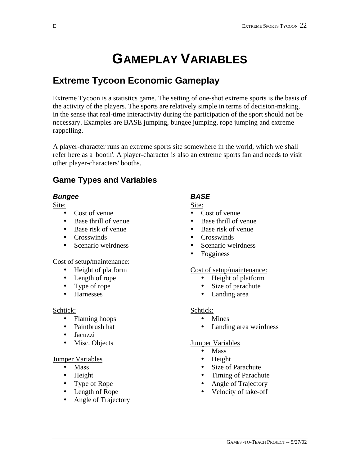# **GAMEPLAY VARIABLES**

## **Extreme Tycoon Economic Gameplay**

Extreme Tycoon is a statistics game. The setting of one-shot extreme sports is the basis of the activity of the players. The sports are relatively simple in terms of decision-making, in the sense that real-time interactivity during the participation of the sport should not be necessary. Examples are BASE jumping, bungee jumping, rope jumping and extreme rappelling.

A player-character runs an extreme sports site somewhere in the world, which we shall refer here as a 'booth'. A player-character is also an extreme sports fan and needs to visit other player-characters' booths.

## **Game Types and Variables**

#### *Bungee*

Site:

- Cost of venue
- Base thrill of venue
- Base risk of venue
- Crosswinds
- Scenario weirdness

#### Cost of setup/maintenance:

- Height of platform
- Length of rope
- Type of rope
- Harnesses

#### Schtick:

- Flaming hoops
- Paintbrush hat
- Jacuzzi
- Misc. Objects

#### Jumper Variables

- Mass
- Height
- Type of Rope
- Length of Rope
- Angle of Trajectory

### *BASE*

#### Site:

- Cost of venue
- Base thrill of venue
- Base risk of venue
- Crosswinds
- Scenario weirdness
- **Fogginess**

#### Cost of setup/maintenance:

- Height of platform
- Size of parachute
- Landing area

#### Schtick:

- Mines
- Landing area weirdness

#### Jumper Variables

- **Mass**
- Height
- Size of Parachute
- Timing of Parachute
- Angle of Trajectory
- Velocity of take-off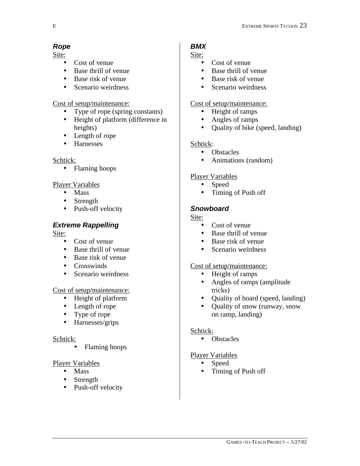### *Rope*

Site:

- Cost of venue
- Base thrill of venue
- Base risk of venue
- Scenario weirdness

#### Cost of setup/maintenance:

- Type of rope (spring constants)
- Height of platform (difference in heights)
- Length of rope
- Harnesses

#### Schtick:

• Flaming hoops

#### Player Variables

- Mass
- Strength
- Push-off velocity

### *Extreme Rappelling*

Site:

- Cost of venue
- Base thrill of venue
- Base risk of venue
- Crosswinds
- Scenario weirdness

#### Cost of setup/maintenance:

- Height of platform
- Length of rope
- Type of rope
- Harnesses/grips

#### Schtick:

• Flaming hoops

#### Player Variables

- **Mass**
- **Strength**
- Push-off velocity

#### *BMX*

Site:

- Cost of venue
- Base thrill of venue
- Base risk of venue
- Scenario weirdness

#### Cost of setup/maintenance:

- Height of ramps
- Angles of ramps
- Quality of bike (speed, landing)

#### Schtick:

- **Obstacles**
- Animations (random)

#### Player Variables

- Speed
- Timing of Push off

#### *Snowboard*

#### Site:

- Cost of venue
- Base thrill of venue
- Base risk of venue
- Scenario weirdness

#### Cost of setup/maintenance:

- Height of ramps
- Angles of ramps (amplitude tricks)
- Quality of board (speed, landing)
- Quality of snow (runway, snow on ramp, landing)

#### Schtick:

• Obstacles

#### Player Variables

- Speed
- Timing of Push off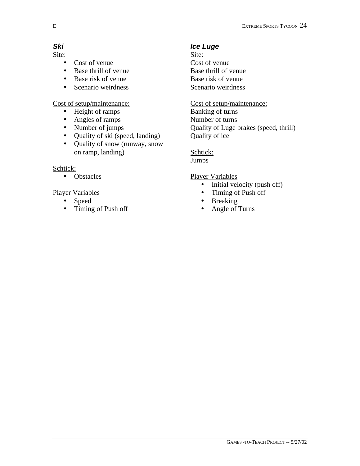### *Ski*

Site:

- Cost of venue
- Base thrill of venue
- Base risk of venue
- Scenario weirdness

#### Cost of setup/maintenance:

- Height of ramps
- Angles of ramps
- Number of jumps
- Quality of ski (speed, landing)
- Quality of snow (runway, snow on ramp, landing)

#### Schtick:

• Obstacles

#### Player Variables

- Speed
- Timing of Push off

#### *Ice Luge*

Site: Cost of venue Base thrill of venue Base risk of venue Scenario weirdness

Cost of setup/maintenance: Banking of turns Number of turns Quality of Luge brakes (speed, thrill) Quality of ice

## Schtick:

Jumps

#### Player Variables

- Initial velocity (push off)
- Timing of Push off
- Breaking
- Angle of Turns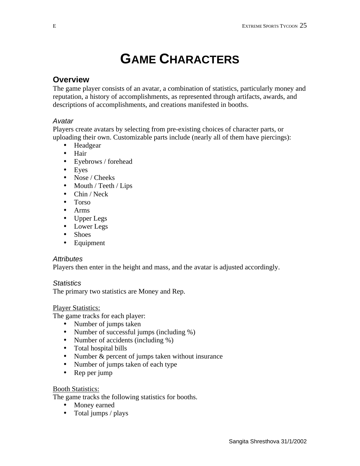# **GAME CHARACTERS**

### **Overview**

The game player consists of an avatar, a combination of statistics, particularly money and reputation, a history of accomplishments, as represented through artifacts, awards, and descriptions of accomplishments, and creations manifested in booths.

#### *Avatar*

Players create avatars by selecting from pre-existing choices of character parts, or uploading their own. Customizable parts include (nearly all of them have piercings):

- **Headgear**
- Hair
- Eyebrows / forehead
- Eyes
- Nose / Cheeks
- Mouth / Teeth / Lips
- Chin / Neck
- Torso
- Arms
- Upper Legs
- Lower Legs
- Shoes
- Equipment

#### *Attributes*

Players then enter in the height and mass, and the avatar is adjusted accordingly.

#### *Statistics*

The primary two statistics are Money and Rep.

#### Player Statistics:

The game tracks for each player:

- Number of jumps taken
- Number of successful jumps (including %)
- Number of accidents (including %)
- Total hospital bills
- Number & percent of jumps taken without insurance
- Number of jumps taken of each type
- Rep per jump

#### Booth Statistics:

The game tracks the following statistics for booths.

- Money earned
- Total jumps / plays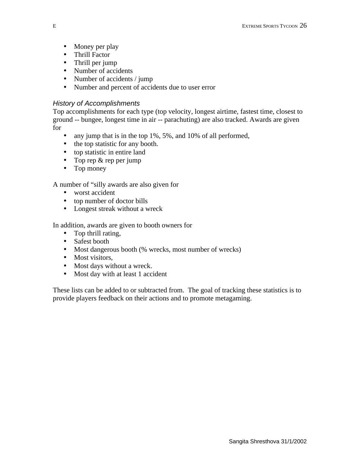- Money per play
- Thrill Factor
- Thrill per jump
- Number of accidents
- Number of accidents / jump
- Number and percent of accidents due to user error

#### *History of Accomplishments*

Top accomplishments for each type (top velocity, longest airtime, fastest time, closest to ground -- bungee, longest time in air -- parachuting) are also tracked. Awards are given for

- any jump that is in the top 1%, 5%, and 10% of all performed,
- the top statistic for any booth.
- top statistic in entire land
- Top rep & rep per jump
- Top money

A number of "silly awards are also given for

- worst accident
- top number of doctor bills
- Longest streak without a wreck

In addition, awards are given to booth owners for

- Top thrill rating,
- Safest booth
- Most dangerous booth (% wrecks, most number of wrecks)
- Most visitors.
- Most days without a wreck.
- Most day with at least 1 accident

These lists can be added to or subtracted from. The goal of tracking these statistics is to provide players feedback on their actions and to promote metagaming.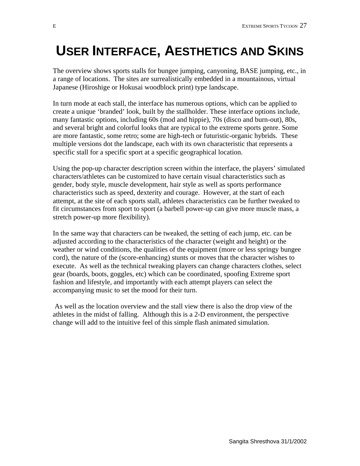# **USER INTERFACE, AESTHETICS AND SKINS**

The overview shows sports stalls for bungee jumping, canyoning, BASE jumping, etc., in a range of locations. The sites are surrealistically embedded in a mountainous, virtual Japanese (Hiroshige or Hokusai woodblock print) type landscape.

In turn mode at each stall, the interface has numerous options, which can be applied to create a unique 'branded' look, built by the stallholder. These interface options include, many fantastic options, including 60s (mod and hippie), 70s (disco and burn-out), 80s, and several bright and colorful looks that are typical to the extreme sports genre. Some are more fantastic, some retro; some are high-tech or futuristic-organic hybrids. These multiple versions dot the landscape, each with its own characteristic that represents a specific stall for a specific sport at a specific geographical location.

Using the pop-up character description screen within the interface, the players' simulated characters/athletes can be customized to have certain visual characteristics such as gender, body style, muscle development, hair style as well as sports performance characteristics such as speed, dexterity and courage. However, at the start of each attempt, at the site of each sports stall, athletes characteristics can be further tweaked to fit circumstances from sport to sport (a barbell power-up can give more muscle mass, a stretch power-up more flexibility).

In the same way that characters can be tweaked, the setting of each jump, etc. can be adjusted according to the characteristics of the character (weight and height) or the weather or wind conditions, the qualities of the equipment (more or less springy bungee cord), the nature of the (score-enhancing) stunts or moves that the character wishes to execute. As well as the technical tweaking players can change characters clothes, select gear (boards, boots, goggles, etc) which can be coordinated, spoofing Extreme sport fashion and lifestyle, and importantly with each attempt players can select the accompanying music to set the mood for their turn.

 As well as the location overview and the stall view there is also the drop view of the athletes in the midst of falling. Although this is a 2-D environment, the perspective change will add to the intuitive feel of this simple flash animated simulation.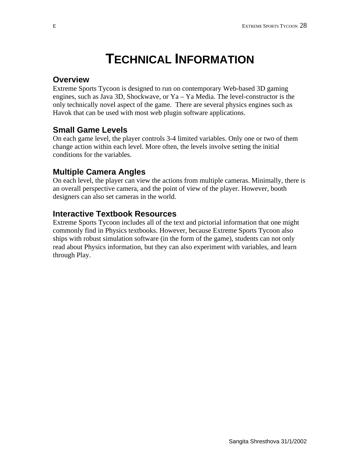## **TECHNICAL INFORMATION**

#### **Overview**

Extreme Sports Tycoon is designed to run on contemporary Web-based 3D gaming engines, such as Java 3D, Shockwave, or Ya – Ya Media. The level-constructor is the only technically novel aspect of the game. There are several physics engines such as Havok that can be used with most web plugin software applications.

#### **Small Game Levels**

On each game level, the player controls 3-4 limited variables. Only one or two of them change action within each level. More often, the levels involve setting the initial conditions for the variables.

#### **Multiple Camera Angles**

On each level, the player can view the actions from multiple cameras. Minimally, there is an overall perspective camera, and the point of view of the player. However, booth designers can also set cameras in the world.

#### **Interactive Textbook Resources**

Extreme Sports Tycoon includes all of the text and pictorial information that one might commonly find in Physics textbooks. However, because Extreme Sports Tycoon also ships with robust simulation software (in the form of the game), students can not only read about Physics information, but they can also experiment with variables, and learn through Play.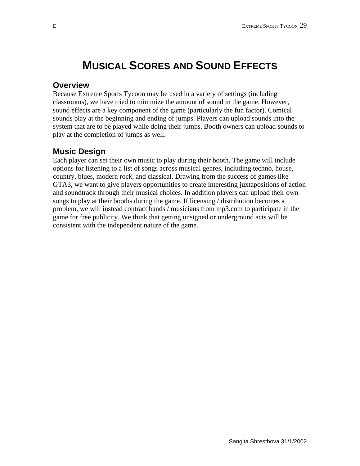## **MUSICAL SCORES AND SOUND EFFECTS**

#### **Overview**

Because Extreme Sports Tycoon may be used in a variety of settings (including classrooms), we have tried to minimize the amount of sound in the game. However, sound effects are a key component of the game (particularly the fun factor). Comical sounds play at the beginning and ending of jumps. Players can upload sounds into the system that are to be played while doing their jumps. Booth owners can upload sounds to play at the completion of jumps as well.

#### **Music Design**

Each player can set their own music to play during their booth. The game will include options for listening to a list of songs across musical genres, including techno, house, country, blues, modern rock, and classical. Drawing from the success of games like GTA3, we want to give players opportunities to create interesting juxtapositions of action and soundtrack through their musical choices. In addition players can upload their own songs to play at their booths during the game. If licensing / distribution becomes a problem, we will instead contract bands / musicians from mp3.com to participate in the game for free publicity. We think that getting unsigned or underground acts will be consistent with the independent nature of the game.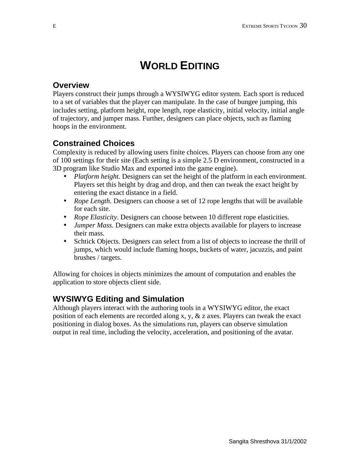## **WORLD EDITING**

## **Overview**

Players construct their jumps through a WYSIWYG editor system. Each sport is reduced to a set of variables that the player can manipulate. In the case of bungee jumping, this includes setting, platform height, rope length, rope elasticity, initial velocity, initial angle of trajectory, and jumper mass. Further, designers can place objects, such as flaming hoops in the environment.

## **Constrained Choices**

Complexity is reduced by allowing users finite choices. Players can choose from any one of 100 settings for their site (Each setting is a simple 2.5 D environment, constructed in a 3D program like Studio Max and exported into the game engine).

- *Platform height.* Designers can set the height of the platform in each environment. Players set this height by drag and drop, and then can tweak the exact height by entering the exact distance in a field.
- *Rope Length*. Designers can choose a set of 12 rope lengths that will be available for each site.
- *Rope Elasticity*. Designers can choose between 10 different rope elasticities*.*
- *Jumper Mass*. Designers can make extra objects available for players to increase their mass.
- Schtick Objects. Designers can select from a list of objects to increase the thrill of jumps, which would include flaming hoops, buckets of water, jacuzzis, and paint brushes / targets.

Allowing for choices in objects minimizes the amount of computation and enables the application to store objects client side.

## **WYSIWYG Editing and Simulation**

Although players interact with the authoring tools in a WYSIWYG editor, the exact position of each elements are recorded along x, y, & z axes. Players can tweak the exact positioning in dialog boxes. As the simulations run, players can observe simulation output in real time, including the velocity, acceleration, and positioning of the avatar.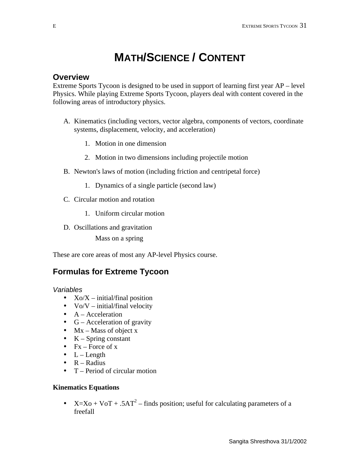## **MATH/SCIENCE / CONTENT**

#### **Overview**

Extreme Sports Tycoon is designed to be used in support of learning first year AP – level Physics. While playing Extreme Sports Tycoon, players deal with content covered in the following areas of introductory physics.

- A. Kinematics (including vectors, vector algebra, components of vectors, coordinate systems, displacement, velocity, and acceleration)
	- 1. Motion in one dimension
	- 2. Motion in two dimensions including projectile motion
- B. Newton's laws of motion (including friction and centripetal force)
	- 1. Dynamics of a single particle (second law)
- C. Circular motion and rotation
	- 1. Uniform circular motion
- D. Oscillations and gravitation

Mass on a spring

These are core areas of most any AP-level Physics course.

## **Formulas for Extreme Tycoon**

#### *Variables*

- Xo/X initial/final position
- $\text{Vo/V}$  initial/final velocity
- $A Acceleration$
- $G -$  Acceleration of gravity
- $Mx Mass$  of object x
- $K -$  Spring constant
- $Fx Force of x$
- $\bullet$  L Length
- $R Radius$
- T Period of circular motion

#### **Kinematics Equations**

•  $X=Xo + VoT + .5AT<sup>2</sup> - finds position; useful for calculating parameters of a$ freefall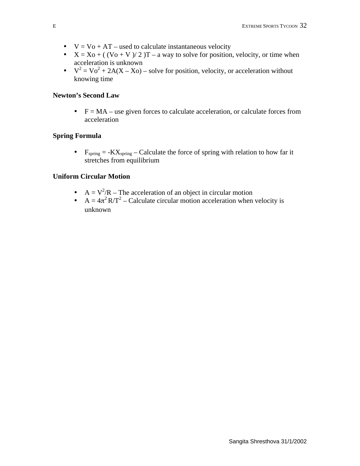- $V = Vo + AT used to calculate instantaneous velocity$
- $X = Xo + ( (Vo + V) / 2 )T a way to solve for position, velocity, or time when$ acceleration is unknown
- $V^2 = Vo^2 + 2A(X Xo)$  solve for position, velocity, or acceleration without knowing time

#### **Newton's Second Law**

 $\bullet$   $F = MA - use given forces to calculate acceleration, or calculate forces from$ acceleration

#### **Spring Formula**

•  $F_{spring} = -KX_{spring} - Calculate$  the force of spring with relation to how far it stretches from equilibrium

#### **Uniform Circular Motion**

- $A = V^2/R$  The acceleration of an object in circular motion
- $A = 4\pi^2 R/T^2$  Calculate circular motion acceleration when velocity is unknown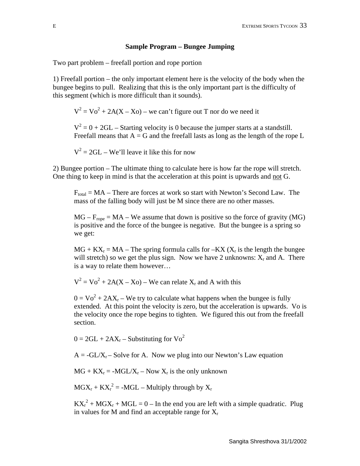#### **Sample Program – Bungee Jumping**

Two part problem – freefall portion and rope portion

1) Freefall portion – the only important element here is the velocity of the body when the bungee begins to pull. Realizing that this is the only important part is the difficulty of this segment (which is more difficult than it sounds).

 $V^2 = V_0^2 + 2A(X - X_0)$  – we can't figure out T nor do we need it

 $V^2 = 0 + 2GL -$  Starting velocity is 0 because the jumper starts at a standstill. Freefall means that  $A = G$  and the freefall lasts as long as the length of the rope L

 $V^2 = 2GL - We'll leave it like this for now$ 

2) Bungee portion – The ultimate thing to calculate here is how far the rope will stretch. One thing to keep in mind is that the acceleration at this point is upwards and not G.

 $F_{total} = MA - There$  are forces at work so start with Newton's Second Law. The mass of the falling body will just be M since there are no other masses.

 $MG - F_{rope} = MA - We$  assume that down is positive so the force of gravity (MG) is positive and the force of the bungee is negative. But the bungee is a spring so we get:

 $MG + KX_r = MA - The spring formula calls for -KX (X_r is the length the bunge)$ will stretch) so we get the plus sign. Now we have 2 unknowns:  $X_r$  and A. There is a way to relate them however…

 $V^2 = V_0^2 + 2A(X - X_0) - We can relate X<sub>r</sub> and A with this$ 

 $0 = \text{Vo}^2 + 2\text{AX}_r - \text{We try to calculate what happens when the bunge is fully}$ extended. At this point the velocity is zero, but the acceleration is upwards. Vo is the velocity once the rope begins to tighten. We figured this out from the freefall section.

 $0 = 2GL + 2AX_r -$  Substituting for Vo<sup>2</sup>

 $A = -GL/X_r -$  Solve for A. Now we plug into our Newton's Law equation

 $MG + KX_r = -MGL/X_r - Now X_r$  is the only unknown

 $MGX_r + KX_r^2 = -MGL - Multiply through by X_r$ 

 $K{X_r}^2 + M{G}{X_r} + M{G}L = 0$  – In the end you are left with a simple quadratic. Plug in values for M and find an acceptable range for  $X_r$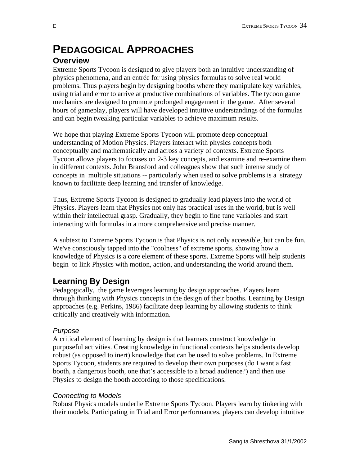# **PEDAGOGICAL APPROACHES**

## **Overview**

Extreme Sports Tycoon is designed to give players both an intuitive understanding of physics phenomena, and an entrée for using physics formulas to solve real world problems. Thus players begin by designing booths where they manipulate key variables, using trial and error to arrive at productive combinations of variables. The tycoon game mechanics are designed to promote prolonged engagement in the game. After several hours of gameplay, players will have developed intuitive understandings of the formulas and can begin tweaking particular variables to achieve maximum results.

We hope that playing Extreme Sports Tycoon will promote deep conceptual understanding of Motion Physics. Players interact with physics concepts both conceptually and mathematically and across a variety of contexts. Extreme Sports Tycoon allows players to focuses on 2-3 key concepts, and examine and re-examine them in different contexts. John Bransford and colleagues show that such intense study of concepts in multiple situations -- particularly when used to solve problems is a strategy known to facilitate deep learning and transfer of knowledge.

Thus, Extreme Sports Tycoon is designed to gradually lead players into the world of Physics. Players learn that Physics not only has practical uses in the world, but is well within their intellectual grasp. Gradually, they begin to fine tune variables and start interacting with formulas in a more comprehensive and precise manner.

A subtext to Extreme Sports Tycoon is that Physics is not only accessible, but can be fun. We've consciously tapped into the "coolness" of extreme sports, showing how a knowledge of Physics is a core element of these sports. Extreme Sports will help students begin to link Physics with motion, action, and understanding the world around them.

## **Learning By Design**

Pedagogically, the game leverages learning by design approaches. Players learn through thinking with Physics concepts in the design of their booths. Learning by Design approaches (e.g. Perkins, 1986) facilitate deep learning by allowing students to think critically and creatively with information.

#### *Purpose*

A critical element of learning by design is that learners construct knowledge in purposeful activities. Creating knowledge in functional contexts helps students develop robust (as opposed to inert) knowledge that can be used to solve problems. In Extreme Sports Tycoon, students are required to develop their own purposes (do I want a fast booth, a dangerous booth, one that's accessible to a broad audience?) and then use Physics to design the booth according to those specifications.

#### *Connecting to Models*

Robust Physics models underlie Extreme Sports Tycoon. Players learn by tinkering with their models. Participating in Trial and Error performances, players can develop intuitive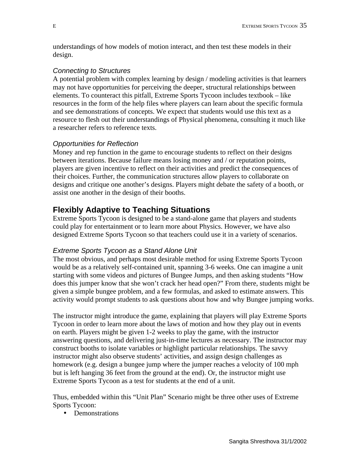understandings of how models of motion interact, and then test these models in their design.

#### *Connecting to Structures*

A potential problem with complex learning by design / modeling activities is that learners may not have opportunities for perceiving the deeper, structural relationships between elements. To counteract this pitfall, Extreme Sports Tycoon includes textbook – like resources in the form of the help files where players can learn about the specific formula and see demonstrations of concepts. We expect that students would use this text as a resource to flesh out their understandings of Physical phenomena, consulting it much like a researcher refers to reference texts.

#### *Opportunities for Reflection*

Money and rep function in the game to encourage students to reflect on their designs between iterations. Because failure means losing money and / or reputation points, players are given incentive to reflect on their activities and predict the consequences of their choices. Further, the communication structures allow players to collaborate on designs and critique one another's designs. Players might debate the safety of a booth, or assist one another in the design of their booths.

#### **Flexibly Adaptive to Teaching Situations**

Extreme Sports Tycoon is designed to be a stand-alone game that players and students could play for entertainment or to learn more about Physics. However, we have also designed Extreme Sports Tycoon so that teachers could use it in a variety of scenarios.

#### *Extreme Sports Tycoon as a Stand Alone Unit*

The most obvious, and perhaps most desirable method for using Extreme Sports Tycoon would be as a relatively self-contained unit, spanning 3-6 weeks. One can imagine a unit starting with some videos and pictures of Bungee Jumps, and then asking students "How does this jumper know that she won't crack her head open?" From there, students might be given a simple bungee problem, and a few formulas, and asked to estimate answers. This activity would prompt students to ask questions about how and why Bungee jumping works.

The instructor might introduce the game, explaining that players will play Extreme Sports Tycoon in order to learn more about the laws of motion and how they play out in events on earth. Players might be given 1-2 weeks to play the game, with the instructor answering questions, and delivering just-in-time lectures as necessary. The instructor may construct booths to isolate variables or highlight particular relationships. The savvy instructor might also observe students' activities, and assign design challenges as homework (e.g. design a bungee jump where the jumper reaches a velocity of 100 mph but is left hanging 36 feet from the ground at the end). Or, the instructor might use Extreme Sports Tycoon as a test for students at the end of a unit.

Thus, embedded within this "Unit Plan" Scenario might be three other uses of Extreme Sports Tycoon:

• Demonstrations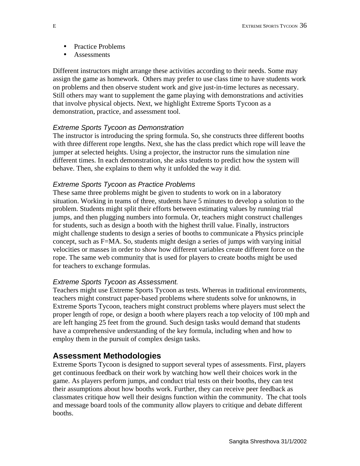- Practice Problems
- Assessments

Different instructors might arrange these activities according to their needs. Some may assign the game as homework. Others may prefer to use class time to have students work on problems and then observe student work and give just-in-time lectures as necessary. Still others may want to supplement the game playing with demonstrations and activities that involve physical objects. Next, we highlight Extreme Sports Tycoon as a demonstration, practice, and assessment tool.

#### *Extreme Sports Tycoon as Demonstration*

The instructor is introducing the spring formula. So, she constructs three different booths with three different rope lengths. Next, she has the class predict which rope will leave the jumper at selected heights. Using a projector, the instructor runs the simulation nine different times. In each demonstration, she asks students to predict how the system will behave. Then, she explains to them why it unfolded the way it did.

#### *Extreme Sports Tycoon as Practice Problems*

These same three problems might be given to students to work on in a laboratory situation. Working in teams of three, students have 5 minutes to develop a solution to the problem. Students might split their efforts between estimating values by running trial jumps, and then plugging numbers into formula. Or, teachers might construct challenges for students, such as design a booth with the highest thrill value. Finally, instructors might challenge students to design a series of booths to communicate a Physics principle concept, such as F=MA. So, students might design a series of jumps with varying initial velocities or masses in order to show how different variables create different force on the rope. The same web community that is used for players to create booths might be used for teachers to exchange formulas.

#### *Extreme Sports Tycoon as Assessment.*

Teachers might use Extreme Sports Tycoon as tests. Whereas in traditional environments, teachers might construct paper-based problems where students solve for unknowns, in Extreme Sports Tycoon, teachers might construct problems where players must select the proper length of rope, or design a booth where players reach a top velocity of 100 mph and are left hanging 25 feet from the ground. Such design tasks would demand that students have a comprehensive understanding of the key formula, including when and how to employ them in the pursuit of complex design tasks.

## **Assessment Methodologies**

Extreme Sports Tycoon is designed to support several types of assessments. First, players get continuous feedback on their work by watching how well their choices work in the game. As players perform jumps, and conduct trial tests on their booths, they can test their assumptions about how booths work. Further, they can receive peer feedback as classmates critique how well their designs function within the community. The chat tools and message board tools of the community allow players to critique and debate different booths.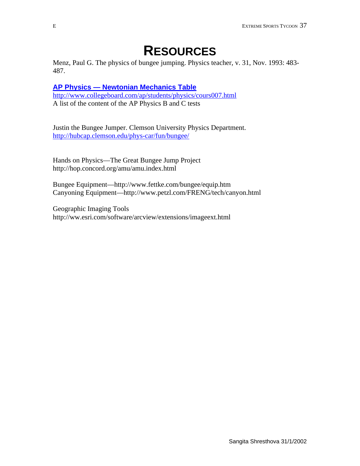## **RESOURCES**

Menz, Paul G. The physics of bungee jumping. Physics teacher, v. 31, Nov. 1993: 483- 487.

#### **AP Physics — Newtonian Mechanics Table**

http://www.collegeboard.com/ap/students/physics/cours007.html A list of the content of the AP Physics B and C tests

Justin the Bungee Jumper. Clemson University Physics Department. http://hubcap.clemson.edu/phys-car/fun/bungee/

Hands on Physics—The Great Bungee Jump Project http://hop.concord.org/amu/amu.index.html

Bungee Equipment—http://www.fettke.com/bungee/equip.htm Canyoning Equipment—http://www.petzl.com/FRENG/tech/canyon.html

Geographic Imaging Tools http://ww.esri.com/software/arcview/extensions/imageext.html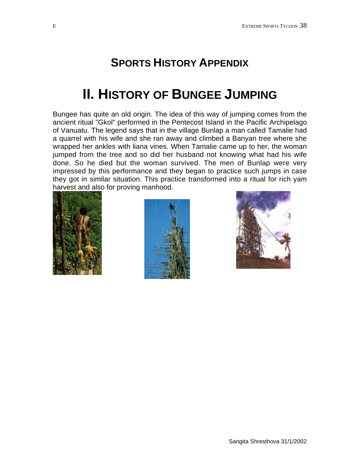## **SPORTS HISTORY APPENDIX**

# **II. HISTORY OF BUNGEE JUMPING**

Bungee has quite an old origin. The idea of this way of jumping comes from the ancient ritual "Gkol" performed in the Pentecost Island in the Pacific Archipelago of Vanuatu. The legend says that in the village Bunlap a man called Tamalie had a quarrel with his wife and she ran away and climbed a Banyan tree where she wrapped her ankles with liana vines. When Tamalie came up to her, the woman jumped from the tree and so did her husband not knowing what had his wife done. So he died but the woman survived. The men of Bunlap were very impressed by this performance and they began to practice such jumps in case they got in similar situation. This practice transformed into a ritual for rich yam harvest and also for proving manhood.





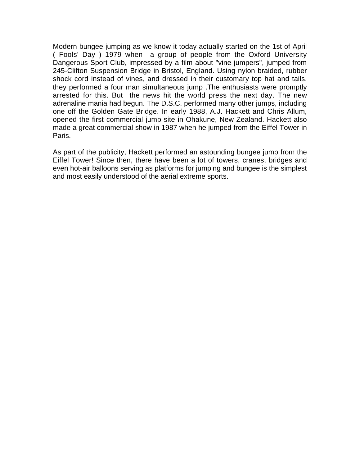Modern bungee jumping as we know it today actually started on the 1st of April ( Fools' Day ) 1979 when a group of people from the Oxford University Dangerous Sport Club, impressed by a film about "vine jumpers", jumped from 245-Clifton Suspension Bridge in Bristol, England. Using nylon braided, rubber shock cord instead of vines, and dressed in their customary top hat and tails, they performed a four man simultaneous jump .The enthusiasts were promptly arrested for this. But the news hit the world press the next day. The new adrenaline mania had begun. The D.S.C. performed many other jumps, including one off the Golden Gate Bridge. In early 1988, A.J. Hackett and Chris Allum, opened the first commercial jump site in Ohakune, New Zealand. Hackett also made a great commercial show in 1987 when he jumped from the Eiffel Tower in Paris.

As part of the publicity, Hackett performed an astounding bungee jump from the Eiffel Tower! Since then, there have been a lot of towers, cranes, bridges and even hot-air balloons serving as platforms for jumping and bungee is the simplest and most easily understood of the aerial extreme sports.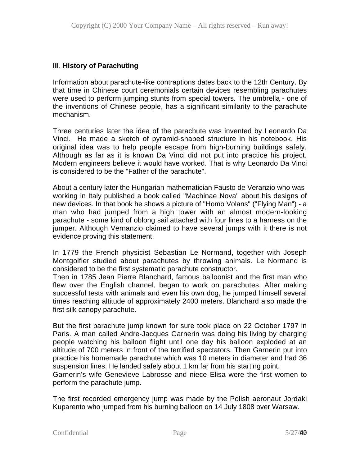## **III**. **History of Parachuting**

Information about parachute-like contraptions dates back to the 12th Century. By that time in Chinese court ceremonials certain devices resembling parachutes were used to perform jumping stunts from special towers. The umbrella - one of the inventions of Chinese people, has a significant similarity to the parachute mechanism.

Three centuries later the idea of the parachute was invented by Leonardo Da Vinci. He made a sketch of pyramid-shaped structure in his notebook. His original idea was to help people escape from high-burning buildings safely. Although as far as it is known Da Vinci did not put into practice his project. Modern engineers believe it would have worked. That is why Leonardo Da Vinci is considered to be the "Father of the parachute".

About a century later the Hungarian mathematician Fausto de Veranzio who was working in Italy published a book called "Machinae Nova" about his designs of new devices. In that book he shows a picture of "Homo Volans" ("Flying Man") - a man who had jumped from a high tower with an almost modern-looking parachute - some kind of oblong sail attached with four lines to a harness on the jumper. Although Vernanzio claimed to have several jumps with it there is not evidence proving this statement.

In 1779 the French physicist Sebastian Le Normand, together with Joseph Montgolfier studied about parachutes by throwing animals. Le Normand is considered to be the first systematic parachute constructor.

Then in 1785 Jean Pierre Blanchard, famous balloonist and the first man who flew over the English channel, began to work on parachutes. After making successful tests with animals and even his own dog, he jumped himself several times reaching altitude of approximately 2400 meters. Blanchard also made the first silk canopy parachute.

But the first parachute jump known for sure took place on 22 October 1797 in Paris. A man called Andre-Jacques Garnerin was doing his living by charging people watching his balloon flight until one day his balloon exploded at an altitude of 700 meters in front of the terrified spectators. Then Garnerin put into practice his homemade parachute which was 10 meters in diameter and had 36 suspension lines. He landed safely about 1 km far from his starting point.

Garnerin's wife Genevieve Labrosse and niece Elisa were the first women to perform the parachute jump.

The first recorded emergency jump was made by the Polish aeronaut Jordaki Kuparento who jumped from his burning balloon on 14 July 1808 over Warsaw.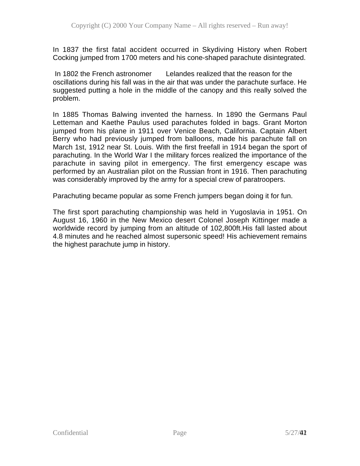In 1837 the first fatal accident occurred in Skydiving History when Robert Cocking jumped from 1700 meters and his cone-shaped parachute disintegrated.

 In 1802 the French astronomer Lelandes realized that the reason for the oscillations during his fall was in the air that was under the parachute surface. He suggested putting a hole in the middle of the canopy and this really solved the problem.

In 1885 Thomas Balwing invented the harness. In 1890 the Germans Paul Letteman and Kaethe Paulus used parachutes folded in bags. Grant Morton jumped from his plane in 1911 over Venice Beach, California. Captain Albert Berry who had previously jumped from balloons, made his parachute fall on March 1st, 1912 near St. Louis. With the first freefall in 1914 began the sport of parachuting. In the World War I the military forces realized the importance of the parachute in saving pilot in emergency. The first emergency escape was performed by an Australian pilot on the Russian front in 1916. Then parachuting was considerably improved by the army for a special crew of paratroopers.

Parachuting became popular as some French jumpers began doing it for fun.

The first sport parachuting championship was held in Yugoslavia in 1951. On August 16, 1960 in the New Mexico desert Colonel Joseph Kittinger made a worldwide record by jumping from an altitude of 102,800ft.His fall lasted about 4.8 minutes and he reached almost supersonic speed! His achievement remains the highest parachute jump in history.